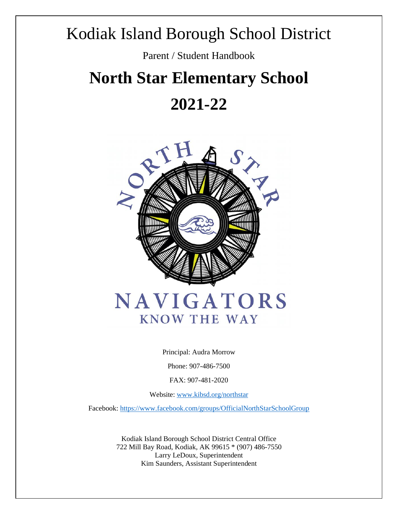## Kodiak Island Borough School District

Parent / Student Handbook

# **North Star Elementary School**

## **2021-22**



Principal: Audra Morrow

Phone: 907-486-7500

FAX: 907-481-2020

Website: [www.kibsd.org/northstar](http://www.kibsd.org/northstar)

Facebook[: https://www.facebook.com/groups/OfficialNorthStarSchoolGroup](https://www.facebook.com/groups/OfficialNorthStarSchoolGroup)

Kodiak Island Borough School District Central Office 722 Mill Bay Road, Kodiak, AK 99615 \* (907) 486-7550 Larry LeDoux, Superintendent Kim Saunders, Assistant Superintendent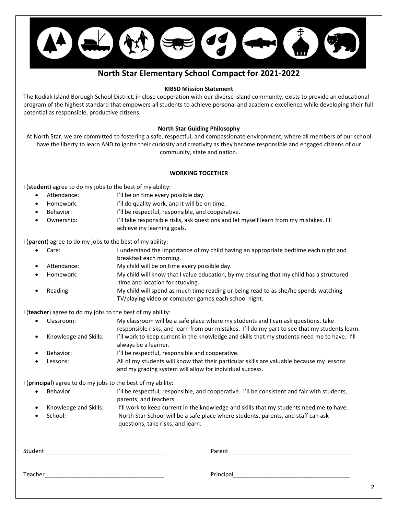

## **North Star Elementary School Compact for 2021-2022**

#### **KIBSD Mission Statement**

The Kodiak Island Borough School District, in close cooperation with our diverse island community, exists to provide an educational program of the highest standard that empowers all students to achieve personal and academic excellence while developing their full potential as responsible, productive citizens.

#### **North Star Guiding Philosophy**

At North Star, we are committed to fostering a safe, respectful, and compassionate environment, where all members of our school have the liberty to learn AND to ignite their curiosity and creativity as they become responsible and engaged citizens of our community, state and nation.

#### **WORKING TOGETHER**

I (**student**) agree to do my jobs to the best of my ability:

- Attendance: I'll be on time every possible day.
- Homework: I'll do quality work, and it will be on time.
- Behavior:  $I'$ ll be respectful, responsible, and cooperative.
- Ownership: I'll take responsible risks, ask questions and let myself learn from my mistakes. I'll achieve my learning goals.

I (**parent**) agree to do my jobs to the best of my ability:

- Care: I understand the importance of my child having an appropriate bedtime each night and breakfast each morning.
- Attendance: My child will be on time every possible day.
- Homework: My child will know that I value education, by my ensuring that my child has a structured time and location for studying.
- Reading: My child will spend as much time reading or being read to as she/he spends watching TV/playing video or computer games each school night.

I (**teacher**) agree to do my jobs to the best of my ability:

|           | • Classroom:          | My classroom will be a safe place where my students and I can ask questions, take              |
|-----------|-----------------------|------------------------------------------------------------------------------------------------|
|           |                       | responsible risks, and learn from our mistakes. I'll do my part to see that my students learn. |
| $\bullet$ | Knowledge and Skills: | I'll work to keep current in the knowledge and skills that my students need me to have. I'll   |
|           |                       | always be a learner.                                                                           |
| $\bullet$ | Behavior:             | I'll be respectful, responsible and cooperative.                                               |
| $\bullet$ | Lessons:              | All of my students will know that their particular skills are valuable because my lessons      |
|           |                       | and my grading system will allow for individual success.                                       |

I (**principal**) agree to do my jobs to the best of my ability:

| Behavior: | I'll be respectful, responsible, and cooperative. I'll be consistent and fair with students, |
|-----------|----------------------------------------------------------------------------------------------|
|           | parents, and teachers.                                                                       |
|           |                                                                                              |

|           | Knowledge and Skills: | I'll work to keep current in the knowledge and skills that my students need me to have. |
|-----------|-----------------------|-----------------------------------------------------------------------------------------|
| $\bullet$ | School:               | North Star School will be a safe place where students, parents, and staff can ask       |
|           |                       | questions, take risks, and learn.                                                       |

| Student | Parent    |
|---------|-----------|
| Teacher | Principal |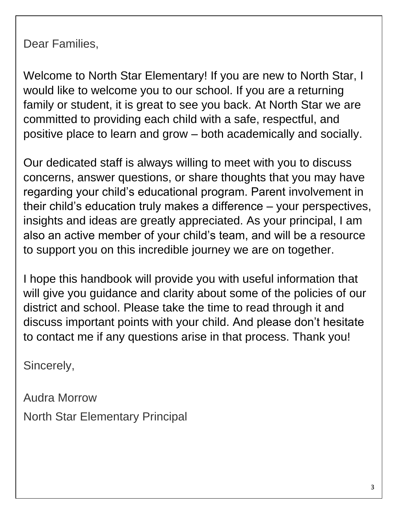Dear Families,

Welcome to North Star Elementary! If you are new to North Star, I would like to welcome you to our school. If you are a returning family or student, it is great to see you back. At North Star we are committed to providing each child with a safe, respectful, and positive place to learn and grow – both academically and socially.

Our dedicated staff is always willing to meet with you to discuss concerns, answer questions, or share thoughts that you may have regarding your child's educational program. Parent involvement in their child's education truly makes a difference – your perspectives, insights and ideas are greatly appreciated. As your principal, I am also an active member of your child's team, and will be a resource to support you on this incredible journey we are on together.

I hope this handbook will provide you with useful information that will give you guidance and clarity about some of the policies of our district and school. Please take the time to read through it and discuss important points with your child. And please don't hesitate to contact me if any questions arise in that process. Thank you!

Sincerely,

Audra Morrow North Star Elementary Principal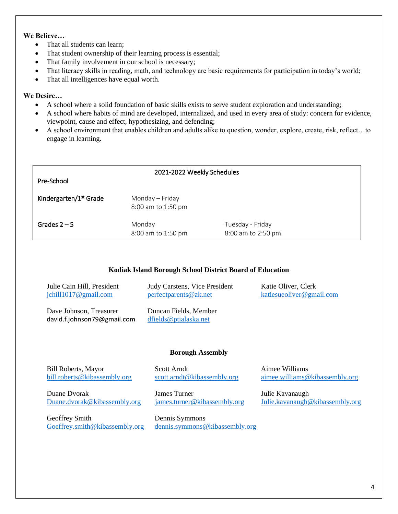## **We Believe…**

- That all students can learn:
- That student ownership of their learning process is essential;
- That family involvement in our school is necessary;
- That literacy skills in reading, math, and technology are basic requirements for participation in today's world;
- That all intelligences have equal worth.

## **We Desire…**

- A school where a solid foundation of basic skills exists to serve student exploration and understanding;
- A school where habits of mind are developed, internalized, and used in every area of study: concern for evidence, viewpoint, cause and effect, hypothesizing, and defending;
- A school environment that enables children and adults alike to question, wonder, explore, create, risk, reflect…to engage in learning.

| Pre-School                         | 2021-2022 Weekly Schedules            |                                        |  |
|------------------------------------|---------------------------------------|----------------------------------------|--|
| Kindergarten/1 <sup>st</sup> Grade | Monday - Friday<br>8:00 am to 1:50 pm |                                        |  |
| Grades $2 - 5$                     | Monday<br>8:00 am to 1:50 pm          | Tuesday - Friday<br>8:00 am to 2:50 pm |  |

## **Kodiak Island Borough School District Board of Education**

| Julie Cain Hill, President                             | Judy Carstens, Vice President                     | Katie Oliver, Clerk      |
|--------------------------------------------------------|---------------------------------------------------|--------------------------|
| $\text{ichill1017@gmail.com}$                          | perfect parents@ak.net                            | katiesueoliver@gmail.com |
| Dave Johnson, Treasurer<br>david.f.johnson79@gmail.com | Duncan Fields, Member<br>$d$ fields@ptialaska.net |                          |

## **Borough Assembly**

Bill Roberts, Mayor Scott Arndt Aimee Williams [bill.roberts@kibassembly.org](mailto:bill.roberts@kibassembly.org) [scott.arndt@kibassembly.org](mailto:scott.arndt@kibassembly.org) [aimee.williams@kibassembly.org](mailto:aimee.williams@kibassembly.org) Duane Dvorak James Turner Julie Kavanaugh [Duane.dvorak@kibassembly.org](mailto:Duane.dvorak@kibassembly.org) [james.turner@kibassembly.org](mailto:james.turner@kibassembly.org) [Julie.kavanaugh@kibassembly.org](mailto:Julie.kavanaugh@kibassembly.org) Geoffrey Smith Dennis Symmons [Goeffrey.smith@kibassembly.org](mailto:Goeffrey.smith@kibassembly.org) [dennis.symmons@kibassembly.org](mailto:dennis.symmons@kibassembly.org)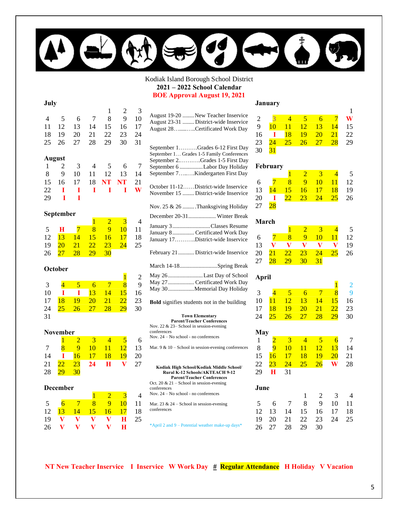

## Kodiak Island Borough School District **2021 – 2022 School Calendar**

**BOE Approval August 19, 2021**

| July<br>1<br>2 |                 |    |                 |                 |                 |         |  |  |
|----------------|-----------------|----|-----------------|-----------------|-----------------|---------|--|--|
| $\overline{4}$ | 5               | 6  | 7               | 8               | 9               | 3<br>10 |  |  |
| 11             | 12              | 13 | 14              | 15              | 16              | 17      |  |  |
| 18             | 19              | 20 | 21              | 22              | 23              | 24      |  |  |
| 25             | 26              | 27 | 28              | 29              | 30              | 31      |  |  |
|                | <b>August</b>   |    |                 |                 |                 |         |  |  |
| 1              | 2               | 3  | 4               | 5               | 6               | 7       |  |  |
| 8              | 9               | 10 | 11              | 12              | 13              | 14      |  |  |
| 15             | 16              | 17 | 18              | <b>NT</b>       | <b>NT</b>       | 21      |  |  |
| 22             | T               | T  | Ī               | T               | T               | W       |  |  |
| 29             | I               | T  |                 |                 |                 |         |  |  |
| September      |                 |    |                 |                 |                 |         |  |  |
|                |                 |    |                 |                 |                 |         |  |  |
|                |                 |    | $\overline{1}$  | 2               | 3               | 4       |  |  |
| 5              | H               | 7  | $\overline{8}$  | 9               | 10              | 11      |  |  |
| 12             | 13              | 14 | 15              | $\overline{16}$ | 17              | 18      |  |  |
| 19             | 20              | 21 | $\overline{22}$ | 23              | 24              | 25      |  |  |
| 26             | $\overline{27}$ | 28 | 29              | 30              |                 |         |  |  |
|                | October         |    |                 |                 |                 |         |  |  |
|                |                 |    |                 |                 | $\overline{1}$  | 2       |  |  |
| 3              | $\overline{4}$  | 5  | 6               | $\overline{7}$  | $\overline{8}$  | 9       |  |  |
| 10             | T               | Т  | 13              | 14              | 15              | 16      |  |  |
| 17             | 18              | 19 | $\overline{20}$ | $\overline{21}$ | $\overline{22}$ | 23      |  |  |
| 24             | 25              | 26 | $\overline{27}$ | $\overline{28}$ | $\overline{29}$ | 30      |  |  |
| 31             |                 |    |                 |                 |                 |         |  |  |



#### **December**

|    |              |              |                 |                 | 3             |    |
|----|--------------|--------------|-----------------|-----------------|---------------|----|
| 5  |              |              | x               | 9               | $\mathbf{10}$ | 11 |
| 12 | 13           | $\sqrt{14}$  | 15 <sup>2</sup> | $\overline{46}$ | 17            | 18 |
| 19 | $\mathbf{V}$ | $\mathbf{V}$ | V               | V.              | H             | 25 |
| 26 | v            | v            | v               | $\mathbf{v}$    | - A -         |    |

| August 19-20  New Teacher Inservice<br>August 23-31  District-wide Inservice<br>August 28. Certificated Work Day                                                                                                           |
|----------------------------------------------------------------------------------------------------------------------------------------------------------------------------------------------------------------------------|
| September 1Grades 6-12 First Day<br>September 1 Grades 1-5 Family Conferences<br>September 2Grades 1-5 First Day<br>September 6 Labor Day Holiday<br>September 7Kindergarten First Day                                     |
| October 11-12District-wide Inservice<br>November 15  District-wide Inservice                                                                                                                                               |
| Nov. 25 & 26 Thanksgiving Holiday                                                                                                                                                                                          |
| December 20-31 Winter Break                                                                                                                                                                                                |
| January 3 Classes Resume<br>January 8  Certificated Work Day<br>January 17District-wide Inservice                                                                                                                          |
| February 21  District-wide Inservice                                                                                                                                                                                       |
| March 14-18Spring Break                                                                                                                                                                                                    |
| May 26 Last Day of School<br>May 27  Certificated Work Day<br>May 30Memorial Day Holiday                                                                                                                                   |
| Bold signifies students not in the building                                                                                                                                                                                |
| <b>Town Elementary</b><br><b>Parent/Teacher Conferences</b><br>Nov. 22 & 23- School in session-evening<br>conferences<br>Nov. 24 - No school - no conferences                                                              |
| Mar. 9 & 10 - School in session-evening conferences                                                                                                                                                                        |
| Kodiak High School/Kodiak Middle School/<br><b>Rural K-12 Schools/AKTEACH 9-12</b><br><b>Parent/Teacher Conferences</b><br>Oct. 20 & 21 – School in session-evening<br>conferences<br>Nov. 24 - No school - no conferences |
| Mar. 23 & $24$ – School in session-evening                                                                                                                                                                                 |
| conferences                                                                                                                                                                                                                |
| *April 2 and 9 - Potential weather make-up days*                                                                                                                                                                           |

#### **January**

| $\overline{2}$ | 3  |    | 5              | 6  |                 | W  |  |
|----------------|----|----|----------------|----|-----------------|----|--|
| 9              | 10 | 11 | 12             | 13 | 14              | 15 |  |
| 16             | T  | 18 | 19             | 20 | 21              | 22 |  |
| 23             | 24 | 25 | 26             | 27 | $\overline{28}$ | 29 |  |
| 30             | 31 |    |                |    |                 |    |  |
| February       |    |    |                |    |                 |    |  |
|                |    | 1  | $\overline{2}$ | 3  |                 | 5  |  |
| 6              |    | 8  | 9              | 10 |                 | 12 |  |
|                |    |    |                |    |                 |    |  |

|              |  | 13 14 15 16 17 18 19       |  |
|--------------|--|----------------------------|--|
|              |  | 20 <b>I</b> 22 23 24 25 26 |  |
| 27 <b>28</b> |  |                            |  |

## **March**

|    |           |                                        | $\mathcal{D}_{\mathbb{Z}}$ | $\clubsuit$            |              |    |
|----|-----------|----------------------------------------|----------------------------|------------------------|--------------|----|
| 6  |           | 8 <sup>1</sup>                         | 9                          | $\blacktriangleleft 0$ | $\mathbf{U}$ | 12 |
| 13 |           | $\mathbf{V}$ $\mathbf{V}$ $\mathbf{V}$ |                            |                        | $\mathbf{V}$ | 19 |
| 20 |           | 21 22 23 24                            |                            |                        | 25           | 26 |
| 27 | <b>28</b> | $\frac{29}{30}$                        |                            | 31                     |              |    |
|    |           |                                        |                            |                        |              |    |

## **April**

|             |                 |    |                |                | $\mathbf{1}$    | $\overline{c}$ |
|-------------|-----------------|----|----------------|----------------|-----------------|----------------|
| 3           | $\overline{4}$  | 5  | 6              | 7              | 8               | 9              |
| 10          | $\overline{11}$ | 12 | 13             | 14             | 15              | 16             |
| 17          | 18              | 19 | 20             | <u>21</u>      | $\overline{22}$ | 23             |
| 24          | 25              | 26 | 27             | 28             | $\overline{29}$ | 30             |
|             |                 |    |                |                |                 |                |
| May         |                 |    |                |                |                 |                |
| $\mathbf 1$ | 2               | 3  | $\overline{4}$ | 5              | 6               | 7              |
| 8           | 9               | 10 | 11             | <u> 12</u>     | 13              | 14             |
| 15          | 16              | 17 | 18             | 19             | 20              | 21             |
| 22          | 23              | 24 | 25             | 26             | W               | 28             |
| 29          | Н               | 31 |                |                |                 |                |
|             |                 |    |                |                |                 |                |
| June        |                 |    |                |                |                 |                |
|             |                 |    | 1              | $\overline{2}$ | 3               | 4              |
| 5           | 6               | 7  | 8              | 9              | 10              | 11             |
| 12          | 13              | 14 | 15             | 16             | 17              | 18             |
| 19          | 20              | 21 | 22             | 23             | 24              | 25             |
| 26          | 27              | 28 | 29             | 30             |                 |                |
|             |                 |    |                |                |                 |                |

**NT New Teacher Inservice I Inservice W Work Day**  $\frac{\mu}{2}$  **Regular Attendance H Holiday V Vacation**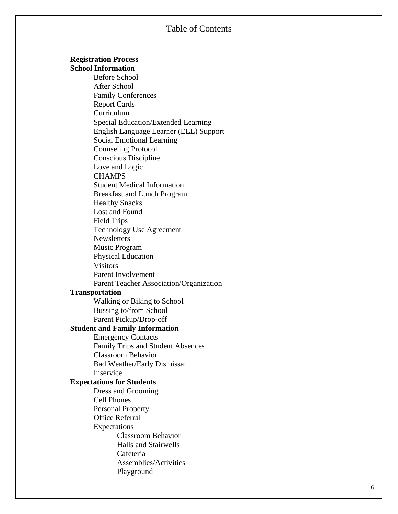## Table of Content s

#### **Registration Process**

**School Information**

Before School After School Family Conferences Report Cards Curriculum Special Education/Extended Learning English Language Learner (ELL) Support Social Emotional Learning Counseling Protocol Conscious Discipline Love and Logic **CHAMPS** Student Medical Information Breakfast and Lunch Program Healthy Snacks Lost and Found Field Trips Technology Use Agreement **Newsletters** Music Program Physical Education **Visitors** Parent Involvement Parent Teacher Association/Organization **Transportation** Walking or Biking to School Bussing to/from School Parent Pickup/Drop -off **Student and Family Information** Emergency Contacts Family Trips and Student Absences Classroom Behavior Bad Weather/Early Dismissal Inservice **Expectations for Students** Dress and Grooming Cell Phones Personal Property Office Referral Expectations Classroom Behavior Halls and Stairwells Cafeteria Assemblies/Activities Playground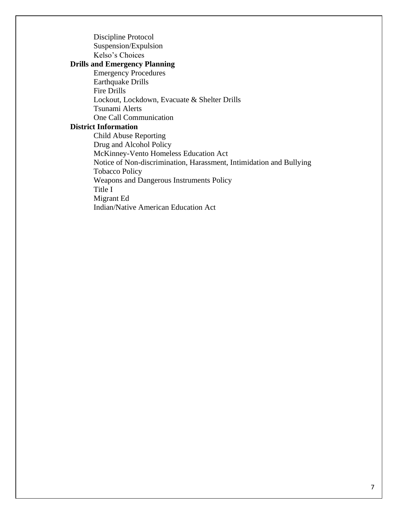Discipline Protocol Suspension/Expulsion Kelso's Choices **Drills and Emergency Planning** Emergency Procedures Earthquake Drills Fire Drills Lockout, Lockdown, Evacuate & Shelter Drills Tsunami Alerts One Call Communication **District Information** Child Abuse Reporting Drug and Alcohol Policy McKinney-Vento Homeless Education Act Notice of Non-discrimination, Harassment, Intimidation and Bullying Tobacco Policy Weapons and Dangerous Instruments Policy Title I Migrant Ed

Indian/Native American Education Act

7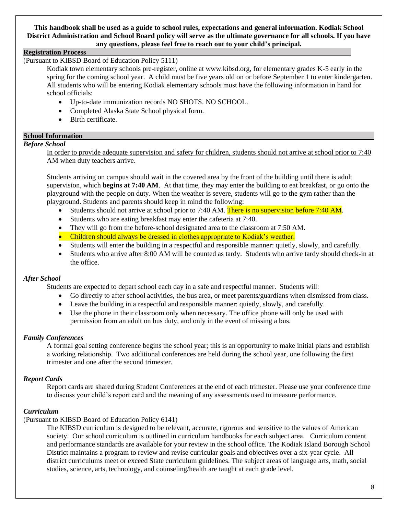#### **This handbook shall be used as a guide to school rules, expectations and general information. Kodiak School District Administration and School Board policy will serve as the ultimate governance for all schools. If you have any questions, please feel free to reach out to your child's principal.**

## **Registration Process**

(Pursuant to KIBSD Board of Education Policy 5111)

Kodiak town elementary schools pre-register, online at www.kibsd.org, for elementary grades K-5 early in the spring for the coming school year. A child must be five years old on or before September 1 to enter kindergarten. All students who will be entering Kodiak elementary schools must have the following information in hand for school officials:

- Up-to-date immunization records NO SHOTS. NO SCHOOL.
- Completed Alaska State School physical form.
- Birth certificate.

## **School Information**

## *Before School*

In order to provide adequate supervision and safety for children, students should not arrive at school prior to 7:40 AM when duty teachers arrive.

Students arriving on campus should wait in the covered area by the front of the building until there is adult supervision, which **begins at 7:40 AM**. At that time, they may enter the building to eat breakfast, or go onto the playground with the people on duty. When the weather is severe, students will go to the gym rather than the playground. Students and parents should keep in mind the following:

- Students should not arrive at school prior to 7:40 AM. There is no supervision before 7:40 AM.
- Students who are eating breakfast may enter the cafeteria at 7:40.
- They will go from the before-school designated area to the classroom at 7:50 AM.
- Children should always be dressed in clothes appropriate to Kodiak's weather.
- Students will enter the building in a respectful and responsible manner: quietly, slowly, and carefully.
- Students who arrive after 8:00 AM will be counted as tardy. Students who arrive tardy should check-in at the office.

## *After School*

Students are expected to depart school each day in a safe and respectful manner. Students will:

- Go directly to after school activities, the bus area, or meet parents/guardians when dismissed from class.
- Leave the building in a respectful and responsible manner: quietly, slowly, and carefully.
- Use the phone in their classroom only when necessary. The office phone will only be used with permission from an adult on bus duty, and only in the event of missing a bus.

## *Family Conferences*

A formal goal setting conference begins the school year; this is an opportunity to make initial plans and establish a working relationship. Two additional conferences are held during the school year, one following the first trimester and one after the second trimester.

## *Report Cards*

Report cards are shared during Student Conferences at the end of each trimester. Please use your conference time to discuss your child's report card and the meaning of any assessments used to measure performance.

## *Curriculum*

## (Pursuant to KIBSD Board of Education Policy 6141)

The KIBSD curriculum is designed to be relevant, accurate, rigorous and sensitive to the values of American society. Our school curriculum is outlined in curriculum handbooks for each subject area. Curriculum content and performance standards are available for your review in the school office. The Kodiak Island Borough School District maintains a program to review and revise curricular goals and objectives over a six-year cycle. All district curriculums meet or exceed State curriculum guidelines. The subject areas of language arts, math, social studies, science, arts, technology, and counseling/health are taught at each grade level.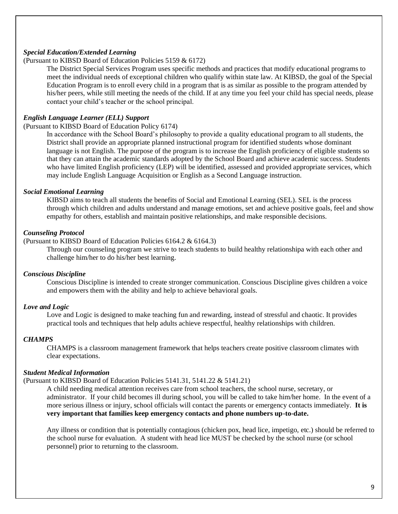## *Special Education/Extended Learning*

## (Pursuant to KIBSD Board of Education Policies 5159 & 6172)

The District Special Services Program uses specific methods and practices that modify educational programs to meet the individual needs of exceptional children who qualify within state law. At KIBSD, the goal of the Special Education Program is to enroll every child in a program that is as similar as possible to the program attended by his/her peers, while still meeting the needs of the child. If at any time you feel your child has special needs, please contact your child's teacher or the school principal.

#### *English Language Learner (ELL) Support*

(Pursuant to KIBSD Board of Education Policy 6174)

In accordance with the School Board's philosophy to provide a quality educational program to all students, the District shall provide an appropriate planned instructional program for identified students whose dominant language is not English. The purpose of the program is to increase the English proficiency of eligible students so that they can attain the academic standards adopted by the School Board and achieve academic success. Students who have limited English proficiency (LEP) will be identified, assessed and provided appropriate services, which may include English Language Acquisition or English as a Second Language instruction.

#### *Social Emotional Learning*

KIBSD aims to teach all students the benefits of Social and Emotional Learning (SEL). SEL is the process through which children and adults understand and manage emotions, set and achieve positive goals, feel and show empathy for others, establish and maintain positive relationships, and make responsible decisions.

#### *Counseling Protocol*

(Pursuant to KIBSD Board of Education Policies 6164.2 & 6164.3)

Through our counseling program we strive to teach students to build healthy relationshipa with each other and challenge him/her to do his/her best learning.

#### *Conscious Discipline*

Conscious Discipline is intended to create stronger communication. Conscious Discipline gives children a voice and empowers them with the ability and help to achieve behavioral goals.

#### *Love and Logic*

Love and Logic is designed to make teaching fun and rewarding, instead of stressful and chaotic. It provides practical tools and techniques that help adults achieve respectful, healthy relationships with children.

#### *CHAMPS*

CHAMPS is a classroom management framework that helps teachers create positive classroom climates with clear expectations.

#### *Student Medical Information*

(Pursuant to KIBSD Board of Education Policies 5141.31, 5141.22 & 5141.21)

A child needing medical attention receives care from school teachers, the school nurse, secretary, or administrator. If your child becomes ill during school, you will be called to take him/her home. In the event of a more serious illness or injury, school officials will contact the parents or emergency contacts immediately. **It is very important that families keep emergency contacts and phone numbers up-to-date.**

Any illness or condition that is potentially contagious (chicken pox, head lice, impetigo, etc.) should be referred to the school nurse for evaluation. A student with head lice MUST be checked by the school nurse (or school personnel) prior to returning to the classroom.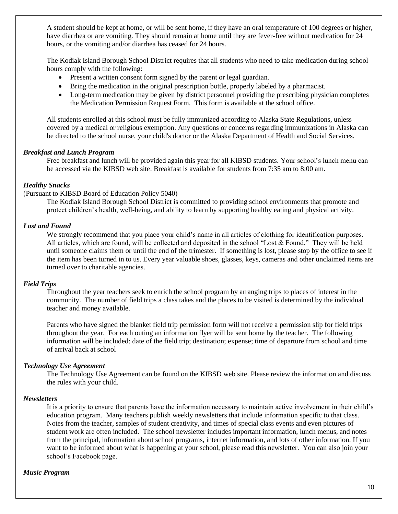A student should be kept at home, or will be sent home, if they have an oral temperature of 100 degrees or higher, have diarrhea or are vomiting. They should remain at home until they are fever-free without medication for 24 hours, or the vomiting and/or diarrhea has ceased for 24 hours.

The Kodiak Island Borough School District requires that all students who need to take medication during school hours comply with the following:

- Present a written consent form signed by the parent or legal guardian.
- Bring the medication in the original prescription bottle, properly labeled by a pharmacist.
- Long-term medication may be given by district personnel providing the prescribing physician completes the Medication Permission Request Form. This form is available at the school office.

All students enrolled at this school must be fully immunized according to Alaska State Regulations, unless covered by a medical or religious exemption. Any questions or concerns regarding immunizations in Alaska can be directed to the school nurse, your child's doctor or the Alaska Department of Health and Social Services.

#### *Breakfast and Lunch Program*

Free breakfast and lunch will be provided again this year for all KIBSD students. Your school's lunch menu can be accessed via the KIBSD web site. Breakfast is available for students from 7:35 am to 8:00 am.

## *Healthy Snacks*

(Pursuant to KIBSD Board of Education Policy 5040)

The Kodiak Island Borough School District is committed to providing school environments that promote and protect children's health, well-being, and ability to learn by supporting healthy eating and physical activity.

#### *Lost and Found*

We strongly recommend that you place your child's name in all articles of clothing for identification purposes. All articles, which are found, will be collected and deposited in the school "Lost & Found." They will be held until someone claims them or until the end of the trimester. If something is lost, please stop by the office to see if the item has been turned in to us. Every year valuable shoes, glasses, keys, cameras and other unclaimed items are turned over to charitable agencies.

#### *Field Trips*

Throughout the year teachers seek to enrich the school program by arranging trips to places of interest in the community. The number of field trips a class takes and the places to be visited is determined by the individual teacher and money available.

Parents who have signed the blanket field trip permission form will not receive a permission slip for field trips throughout the year. For each outing an information flyer will be sent home by the teacher. The following information will be included: date of the field trip; destination; expense; time of departure from school and time of arrival back at school

#### *Technology Use Agreement*

The Technology Use Agreement can be found on the KIBSD web site. Please review the information and discuss the rules with your child.

#### *Newsletters*

It is a priority to ensure that parents have the information necessary to maintain active involvement in their child's education program. Many teachers publish weekly newsletters that include information specific to that class. Notes from the teacher, samples of student creativity, and times of special class events and even pictures of student work are often included. The school newsletter includes important information, lunch menus, and notes from the principal, information about school programs, internet information, and lots of other information. If you want to be informed about what is happening at your school, please read this newsletter. You can also join your school's Facebook page.

#### *Music Program*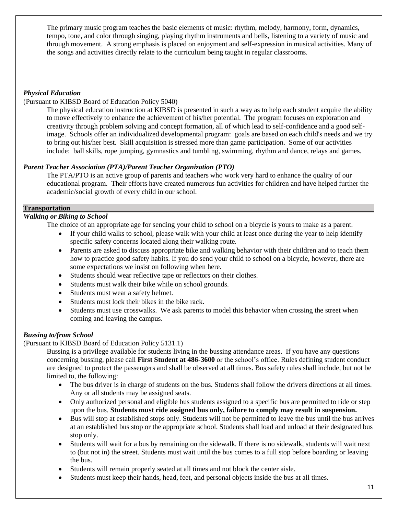The primary music program teaches the basic elements of music: rhythm, melody, harmony, form, dynamics, tempo, tone, and color through singing, playing rhythm instruments and bells, listening to a variety of music and through movement. A strong emphasis is placed on enjoyment and self-expression in musical activities. Many of the songs and activities directly relate to the curriculum being taught in regular classrooms.

## *Physical Education*

## (Pursuant to KIBSD Board of Education Policy 5040)

The physical education instruction at KIBSD is presented in such a way as to help each student acquire the ability to move effectively to enhance the achievement of his/her potential. The program focuses on exploration and creativity through problem solving and concept formation, all of which lead to self-confidence and a good selfimage. Schools offer an individualized developmental program: goals are based on each child's needs and we try to bring out his/her best. Skill acquisition is stressed more than game participation. Some of our activities include: ball skills, rope jumping, gymnastics and tumbling, swimming, rhythm and dance, relays and games.

## *Parent Teacher Association (PTA)/Parent Teacher Organization (PTO)*

The PTA/PTO is an active group of parents and teachers who work very hard to enhance the quality of our educational program. Their efforts have created numerous fun activities for children and have helped further the academic/social growth of every child in our school.

## **Transportation**

## *Walking or Biking to School*

The choice of an appropriate age for sending your child to school on a bicycle is yours to make as a parent.

- If your child walks to school, please walk with your child at least once during the year to help identify specific safety concerns located along their walking route.
- Parents are asked to discuss appropriate bike and walking behavior with their children and to teach them how to practice good safety habits. If you do send your child to school on a bicycle, however, there are some expectations we insist on following when here.
- Students should wear reflective tape or reflectors on their clothes.
- Students must walk their bike while on school grounds.
- Students must wear a safety helmet.
- Students must lock their bikes in the bike rack.
- Students must use crosswalks. We ask parents to model this behavior when crossing the street when coming and leaving the campus.

## *Bussing to/from School*

## (Pursuant to KIBSD Board of Education Policy 5131.1)

Bussing is a privilege available for students living in the bussing attendance areas. If you have any questions concerning bussing, please call **First Student at 486-3600** or the school's office. Rules defining student conduct are designed to protect the passengers and shall be observed at all times. Bus safety rules shall include, but not be limited to, the following:

- The bus driver is in charge of students on the bus. Students shall follow the drivers directions at all times. Any or all students may be assigned seats.
- Only authorized personal and eligible bus students assigned to a specific bus are permitted to ride or step upon the bus. **Students must ride assigned bus only, failure to comply may result in suspension.**
- Bus will stop at established stops only. Students will not be permitted to leave the bus until the bus arrives at an established bus stop or the appropriate school. Students shall load and unload at their designated bus stop only.
- Students will wait for a bus by remaining on the sidewalk. If there is no sidewalk, students will wait next to (but not in) the street. Students must wait until the bus comes to a full stop before boarding or leaving the bus.
- Students will remain properly seated at all times and not block the center aisle.
- Students must keep their hands, head, feet, and personal objects inside the bus at all times.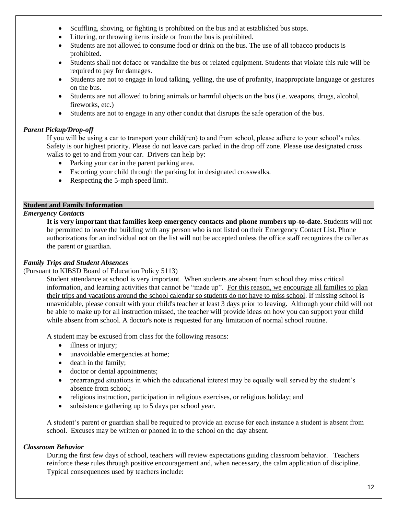- Scuffling, shoving, or fighting is prohibited on the bus and at established bus stops.
- Littering, or throwing items inside or from the bus is prohibited.
- Students are not allowed to consume food or drink on the bus. The use of all tobacco products is prohibited.
- Students shall not deface or vandalize the bus or related equipment. Students that violate this rule will be required to pay for damages.
- Students are not to engage in loud talking, yelling, the use of profanity, inappropriate language or gestures on the bus.
- Students are not allowed to bring animals or harmful objects on the bus (i.e. weapons, drugs, alcohol, fireworks, etc.)
- Students are not to engage in any other condut that disrupts the safe operation of the bus.

## *Parent Pickup/Drop-off*

If you will be using a car to transport your child(ren) to and from school, please adhere to your school's rules. Safety is our highest priority. Please do not leave cars parked in the drop off zone. Please use designated cross walks to get to and from your car. Drivers can help by:

- Parking your car in the parent parking area.
- Escorting your child through the parking lot in designated crosswalks.
- Respecting the 5-mph speed limit.

## **Student and Family Information**

## *Emergency Contacts*

**It is very important that families keep emergency contacts and phone numbers up-to-date.** Students will not be permitted to leave the building with any person who is not listed on their Emergency Contact List. Phone authorizations for an individual not on the list will not be accepted unless the office staff recognizes the caller as the parent or guardian.

## *Family Trips and Student Absences*

## (Pursuant to KIBSD Board of Education Policy 5113)

Student attendance at school is very important. When students are absent from school they miss critical information, and learning activities that cannot be "made up". For this reason, we encourage all families to plan their trips and vacations around the school calendar so students do not have to miss school. If missing school is unavoidable, please consult with your child's teacher at least 3 days prior to leaving. Although your child will not be able to make up for all instruction missed, the teacher will provide ideas on how you can support your child while absent from school. A doctor's note is requested for any limitation of normal school routine.

A student may be excused from class for the following reasons:

- illness or injury;
- unavoidable emergencies at home;
- death in the family;
- doctor or dental appointments;
- prearranged situations in which the educational interest may be equally well served by the student's absence from school;
- religious instruction, participation in religious exercises, or religious holiday; and
- subsistence gathering up to 5 days per school year.

A student's parent or guardian shall be required to provide an excuse for each instance a student is absent from school. Excuses may be written or phoned in to the school on the day absent.

## *Classroom Behavior*

During the first few days of school, teachers will review expectations guiding classroom behavior. Teachers reinforce these rules through positive encouragement and, when necessary, the calm application of discipline. Typical consequences used by teachers include: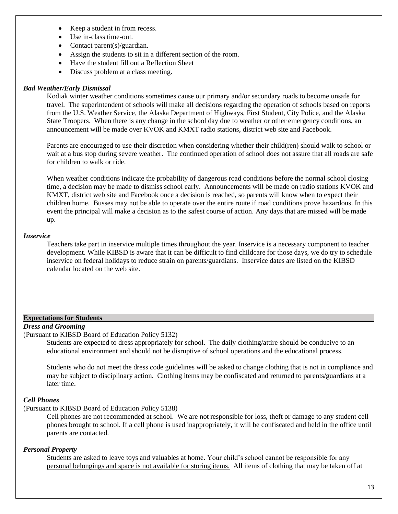- Keep a student in from recess.
- Use in-class time-out.
- Contact parent(s)/guardian.
- Assign the students to sit in a different section of the room.
- Have the student fill out a Reflection Sheet
- Discuss problem at a class meeting.

## *Bad Weather/Early Dismissal*

Kodiak winter weather conditions sometimes cause our primary and/or secondary roads to become unsafe for travel. The superintendent of schools will make all decisions regarding the operation of schools based on reports from the U.S. Weather Service, the Alaska Department of Highways, First Student, City Police, and the Alaska State Troopers. When there is any change in the school day due to weather or other emergency conditions, an announcement will be made over KVOK and KMXT radio stations, district web site and Facebook.

Parents are encouraged to use their discretion when considering whether their child(ren) should walk to school or wait at a bus stop during severe weather. The continued operation of school does not assure that all roads are safe for children to walk or ride.

When weather conditions indicate the probability of dangerous road conditions before the normal school closing time, a decision may be made to dismiss school early. Announcements will be made on radio stations KVOK and KMXT, district web site and Facebook once a decision is reached, so parents will know when to expect their children home. Busses may not be able to operate over the entire route if road conditions prove hazardous. In this event the principal will make a decision as to the safest course of action. Any days that are missed will be made up.

## *Inservice*

Teachers take part in inservice multiple times throughout the year. Inservice is a necessary component to teacher development. While KIBSD is aware that it can be difficult to find childcare for those days, we do try to schedule inservice on federal holidays to reduce strain on parents/guardians. Inservice dates are listed on the KIBSD calendar located on the web site.

## **Expectations for Students**

## *Dress and Grooming*

(Pursuant to KIBSD Board of Education Policy 5132)

Students are expected to dress appropriately for school. The daily clothing/attire should be conducive to an educational environment and should not be disruptive of school operations and the educational process.

Students who do not meet the dress code guidelines will be asked to change clothing that is not in compliance and may be subject to disciplinary action. Clothing items may be confiscated and returned to parents/guardians at a later time.

## *Cell Phones*

(Pursuant to KIBSD Board of Education Policy 5138)

Cell phones are not recommended at school. We are not responsible for loss, theft or damage to any student cell phones brought to school. If a cell phone is used inappropriately, it will be confiscated and held in the office until parents are contacted.

## *Personal Property*

Students are asked to leave toys and valuables at home. Your child's school cannot be responsible for any personal belongings and space is not available for storing items. All items of clothing that may be taken off at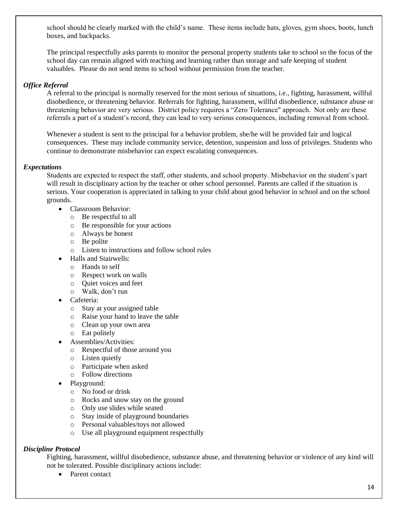school should be clearly marked with the child's name. These items include hats, gloves, gym shoes, boots, lunch boxes, and backpacks.

The principal respectfully asks parents to monitor the personal property students take to school so the focus of the school day can remain aligned with teaching and learning rather than storage and safe keeping of student valuables. Please do not send items to school without permission from the teacher.

## *Office Referral*

A referral to the principal is normally reserved for the most serious of situations, i.e., fighting, harassment, willful disobedience, or threatening behavior. Referrals for fighting, harassment, willful disobedience, substance abuse or threatening behavior are very serious. District policy requires a "Zero Tolerance" approach. Not only are these referrals a part of a student's record, they can lead to very serious consequences, including removal from school.

Whenever a student is sent to the principal for a behavior problem, she/he will be provided fair and logical consequences. These may include community service, detention, suspension and loss of privileges. Students who continue to demonstrate misbehavior can expect escalating consequences.

## *Expectations*

Students are expected to respect the staff, other students, and school property. Misbehavior on the student's part will result in disciplinary action by the teacher or other school personnel. Parents are called if the situation is serious. Your cooperation is appreciated in talking to your child about good behavior in school and on the school grounds.

- Classroom Behavior:
	- o Be respectful to all
	- o Be responsible for your actions
	- o Always be honest
	- o Be polite
	- o Listen to instructions and follow school rules
	- Halls and Stairwells:
		- o Hands to self
		- o Respect work on walls
		- o Quiet voices and feet
		- o Walk, don't run
- Cafeteria:
	- o Stay at your assigned table
	- o Raise your hand to leave the table
	- o Clean up your own area
	- o Eat politely
- Assemblies/Activities:
	- o Respectful of those around you
	- o Listen quietly
	- o Participate when asked
	- o Follow directions
- Playground:
	- o No food or drink
	- o Rocks and snow stay on the ground
	- o Only use slides while seated
	- o Stay inside of playground boundaries
	- o Personal valuables/toys not allowed
	- o Use all playground equipment respectfully

## *Discipline Protocol*

Fighting, harassment, willful disobedience, substance abuse, and threatening behavior or violence of any kind will not be tolerated. Possible disciplinary actions include:

• Parent contact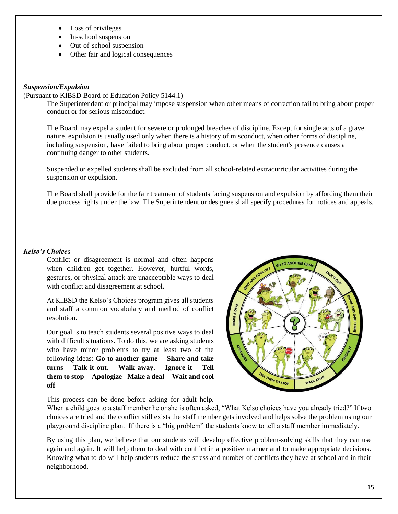- Loss of privileges
- In-school suspension
- Out-of-school suspension
- Other fair and logical consequences

## *Suspension/Expulsion*

## (Pursuant to KIBSD Board of Education Policy 5144.1)

The Superintendent or principal may impose suspension when other means of correction fail to bring about proper conduct or for serious misconduct.

The Board may expel a student for severe or prolonged breaches of discipline. Except for single acts of a grave nature, expulsion is usually used only when there is a history of misconduct, when other forms of discipline, including suspension, have failed to bring about proper conduct, or when the student's presence causes a continuing danger to other students.

Suspended or expelled students shall be excluded from all school-related extracurricular activities during the suspension or expulsion.

The Board shall provide for the fair treatment of students facing suspension and expulsion by affording them their due process rights under the law. The Superintendent or designee shall specify procedures for notices and appeals.

## *Kelso's Choice*s

Conflict or disagreement is normal and often happens when children get together. However, hurtful words, gestures, or physical attack are unacceptable ways to deal with conflict and disagreement at school.

At KIBSD the Kelso's Choices program gives all students and staff a common vocabulary and method of conflict resolution.

Our goal is to teach students several positive ways to deal with difficult situations. To do this, we are asking students who have minor problems to try at least two of the following ideas: **Go to another game -- Share and take turns -- Talk it out. -- Walk away. -- Ignore it -- Tell them to stop -- Apologize - Make a deal -- Wait and cool off**



This process can be done before asking for adult help.

When a child goes to a staff member he or she is often asked, "What Kelso choices have you already tried?" If two choices are tried and the conflict still exists the staff member gets involved and helps solve the problem using our playground discipline plan. If there is a "big problem" the students know to tell a staff member immediately.

By using this plan, we believe that our students will develop effective problem-solving skills that they can use again and again. It will help them to deal with conflict in a positive manner and to make appropriate decisions. Knowing what to do will help students reduce the stress and number of conflicts they have at school and in their neighborhood.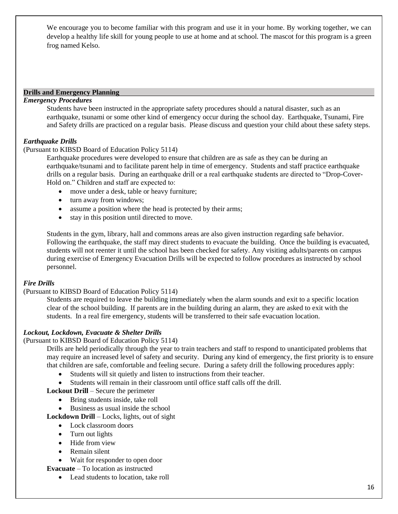We encourage you to become familiar with this program and use it in your home. By working together, we can develop a healthy life skill for young people to use at home and at school. The mascot for this program is a green frog named Kelso.

#### **Drills and Emergency Planning**

## *Emergency Procedures*

Students have been instructed in the appropriate safety procedures should a natural disaster, such as an earthquake, tsunami or some other kind of emergency occur during the school day. Earthquake, Tsunami, Fire and Safety drills are practiced on a regular basis. Please discuss and question your child about these safety steps.

## *Earthquake Drills*

## (Pursuant to KIBSD Board of Education Policy 5114)

Earthquake procedures were developed to ensure that children are as safe as they can be during an earthquake/tsunami and to facilitate parent help in time of emergency. Students and staff practice earthquake drills on a regular basis. During an earthquake drill or a real earthquake students are directed to "Drop-Cover-Hold on." Children and staff are expected to:

- move under a desk, table or heavy furniture;
- turn away from windows;
- assume a position where the head is protected by their arms;
- stay in this position until directed to move.

Students in the gym, library, hall and commons areas are also given instruction regarding safe behavior. Following the earthquake, the staff may direct students to evacuate the building. Once the building is evacuated, students will not reenter it until the school has been checked for safety. Any visiting adults/parents on campus during exercise of Emergency Evacuation Drills will be expected to follow procedures as instructed by school personnel.

## *Fire Drills*

## (Pursuant to KIBSD Board of Education Policy 5114)

Students are required to leave the building immediately when the alarm sounds and exit to a specific location clear of the school building. If parents are in the building during an alarm, they are asked to exit with the students. In a real fire emergency, students will be transferred to their safe evacuation location.

## *Lockout, Lockdown, Evacuate & Shelter Drills*

#### (Pursuant to KIBSD Board of Education Policy 5114)

Drills are held periodically through the year to train teachers and staff to respond to unanticipated problems that may require an increased level of safety and security. During any kind of emergency, the first priority is to ensure that children are safe, comfortable and feeling secure. During a safety drill the following procedures apply:

- Students will sit quietly and listen to instructions from their teacher.
- Students will remain in their classroom until office staff calls off the drill.

**Lockout Drill** – Secure the perimeter

- Bring students inside, take roll
- Business as usual inside the school
- **Lockdown Drill**  Locks, lights, out of sight
	- Lock classroom doors
	- Turn out lights
	- Hide from view
	- Remain silent
	- Wait for responder to open door

**Evacuate** – To location as instructed

• Lead students to location, take roll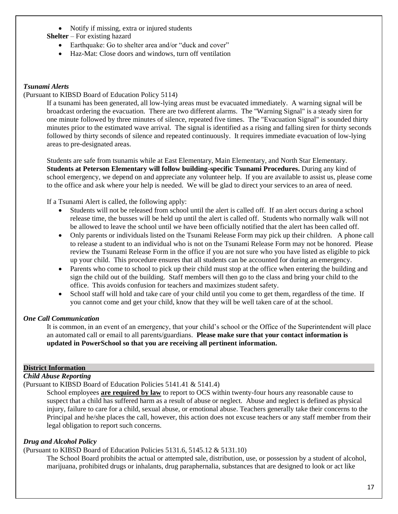- Notify if missing, extra or injured students
- **Shelter** For existing hazard
	- Earthquake: Go to shelter area and/or "duck and cover"
	- Haz-Mat: Close doors and windows, turn off ventilation

## *Tsunami Alerts*

## (Pursuant to KIBSD Board of Education Policy 5114)

If a tsunami has been generated, all low-lying areas must be evacuated immediately. A warning signal will be broadcast ordering the evacuation. There are two different alarms. The "Warning Signal" is a steady siren for one minute followed by three minutes of silence, repeated five times. The "Evacuation Signal" is sounded thirty minutes prior to the estimated wave arrival. The signal is identified as a rising and falling siren for thirty seconds followed by thirty seconds of silence and repeated continuously. It requires immediate evacuation of low-lying areas to pre-designated areas.

Students are safe from tsunamis while at East Elementary, Main Elementary, and North Star Elementary. **Students at Peterson Elementary will follow building-specific Tsunami Procedures.** During any kind of school emergency, we depend on and appreciate any volunteer help. If you are available to assist us, please come to the office and ask where your help is needed. We will be glad to direct your services to an area of need.

If a Tsunami Alert is called, the following apply:

- Students will not be released from school until the alert is called off. If an alert occurs during a school release time, the busses will be held up until the alert is called off. Students who normally walk will not be allowed to leave the school until we have been officially notified that the alert has been called off.
- Only parents or individuals listed on the Tsunami Release Form may pick up their children. A phone call to release a student to an individual who is not on the Tsunami Release Form may not be honored. Please review the Tsunami Release Form in the office if you are not sure who you have listed as eligible to pick up your child. This procedure ensures that all students can be accounted for during an emergency.
- Parents who come to school to pick up their child must stop at the office when entering the building and sign the child out of the building. Staff members will then go to the class and bring your child to the office. This avoids confusion for teachers and maximizes student safety.
- School staff will hold and take care of your child until you come to get them, regardless of the time. If you cannot come and get your child, know that they will be well taken care of at the school.

## *One Call Communication*

It is common, in an event of an emergency, that your child's school or the Office of the Superintendent will place an automated call or email to all parents/guardians. **Please make sure that your contact information is updated in PowerSchool so that you are receiving all pertinent information.**

## **District Information**

## *Child Abuse Reporting*

(Pursuant to KIBSD Board of Education Policies 5141.41 & 5141.4)

School employees **are required by law** to report to OCS within twenty-four hours any reasonable cause to suspect that a child has suffered harm as a result of abuse or neglect. Abuse and neglect is defined as physical injury, failure to care for a child, sexual abuse, or emotional abuse. Teachers generally take their concerns to the Principal and he/she places the call, however, this action does not excuse teachers or any staff member from their legal obligation to report such concerns.

## *Drug and Alcohol Policy*

## (Pursuant to KIBSD Board of Education Policies 5131.6, 5145.12 & 5131.10)

The School Board prohibits the actual or attempted sale, distribution, use, or possession by a student of alcohol, marijuana, prohibited drugs or inhalants, drug paraphernalia, substances that are designed to look or act like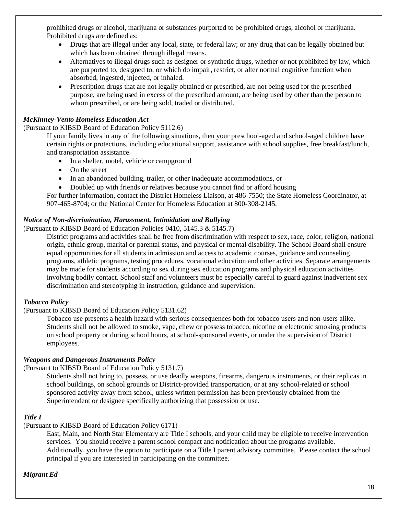prohibited drugs or alcohol, marijuana or substances purported to be prohibited drugs, alcohol or marijuana. Prohibited drugs are defined as:

- Drugs that are illegal under any local, state, or federal law; or any drug that can be legally obtained but which has been obtained through illegal means.
- Alternatives to illegal drugs such as designer or synthetic drugs, whether or not prohibited by law, which are purported to, designed to, or which do impair, restrict, or alter normal cognitive function when absorbed, ingested, injected, or inhaled.
- Prescription drugs that are not legally obtained or prescribed, are not being used for the prescribed purpose, are being used in excess of the prescribed amount, are being used by other than the person to whom prescribed, or are being sold, traded or distributed.

## *McKinney-Vento Homeless Education Act*

(Pursuant to KIBSD Board of Education Policy 5112.6)

If your family lives in any of the following situations, then your preschool-aged and school-aged children have certain rights or protections, including educational support, assistance with school supplies, free breakfast/lunch, and transportation assistance.

- In a shelter, motel, vehicle or campground
- On the street
- In an abandoned building, trailer, or other inadequate accommodations, or
- Doubled up with friends or relatives because you cannot find or afford housing

For further information, contact the District Homeless Liaison, at 486-7550; the State Homeless Coordinator, at 907-465-8704; or the National Center for Homeless Education at 800-308-2145.

## *Notice of Non-discrimination, Harassment, Intimidation and Bullying*

(Pursuant to KIBSD Board of Education Policies 0410, 5145.3 & 5145.7)

District programs and activities shall be free from discrimination with respect to sex, race, color, religion, national origin, ethnic group, marital or parental status, and physical or mental disability. The School Board shall ensure equal opportunities for all students in admission and access to academic courses, guidance and counseling programs, athletic programs, testing procedures, vocational education and other activities. Separate arrangements may be made for students according to sex during sex education programs and physical education activities involving bodily contact. School staff and volunteers must be especially careful to guard against inadvertent sex discrimination and stereotyping in instruction, guidance and supervision.

## *Tobacco Policy*

## (Pursuant to KIBSD Board of Education Policy 5131.62)

Tobacco use presents a health hazard with serious consequences both for tobacco users and non-users alike. Students shall not be allowed to smoke, vape, chew or possess tobacco, nicotine or electronic smoking products on school property or during school hours, at school-sponsored events, or under the supervision of District employees.

## *Weapons and Dangerous Instruments Policy*

(Pursuant to KIBSD Board of Education Policy 5131.7)

Students shall not bring to, possess, or use deadly weapons, firearms, dangerous instruments, or their replicas in school buildings, on school grounds or District-provided transportation, or at any school-related or school sponsored activity away from school, unless written permission has been previously obtained from the Superintendent or designee specifically authorizing that possession or use.

## *Title I*

(Pursuant to KIBSD Board of Education Policy 6171)

East, Main, and North Star Elementary are Title I schools, and your child may be eligible to receive intervention services. You should receive a parent school compact and notification about the programs available. Additionally, you have the option to participate on a Title I parent advisory committee. Please contact the school principal if you are interested in participating on the committee.

## *Migrant Ed*